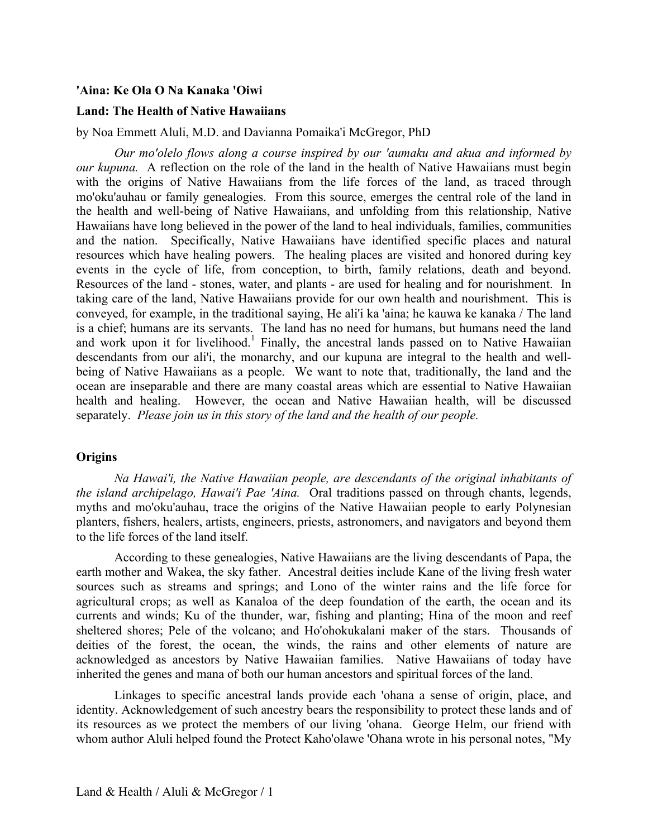### **'Aina: Ke Ola O Na Kanaka 'Oiwi**

# **Land: The Health of Native Hawaiians**

#### by Noa Emmett Aluli, M.D. and Davianna Pomaika'i McGregor, PhD

 *our kupuna.* A reflection on the role of the land in the health of Native Hawaiians must begin *Our mo'olelo flows along a course inspired by our 'aumaku and akua and informed by*  with the origins of Native Hawaiians from the life forces of the land, as traced through mo'oku'auhau or family genealogies. From this source, emerges the central role of the land in the health and well-being of Native Hawaiians, and unfolding from this relationship, Native Hawaiians have long believed in the power of the land to heal individuals, families, communities and the nation. Specifically, Native Hawaiians have identified specific places and natural resources which have healing powers. The healing places are visited and honored during key events in the cycle of life, from conception, to birth, family relations, death and beyond. Resources of the land - stones, water, and plants - are used for healing and for nourishment. In taking care of the land, Native Hawaiians provide for our own health and nourishment. This is conveyed, for example, in the traditional saying, He ali'i ka 'aina; he kauwa ke kanaka / The land is a chief; humans are its servants. The land has no need for humans, but humans need the land and work upon it for livelihood.<sup>1</sup> Finally, the ancestral lands passed on to Native Hawaiian descendants from our ali'i, the monarchy, and our kupuna are integral to the health and wellbeing of Native Hawaiians as a people. We want to note that, traditionally, the land and the ocean are inseparable and there are many coastal areas which are essential to Native Hawaiian health and healing. However, the ocean and Native Hawaiian health, will be discussed separately. *Please join us in this story of the land and the health of our people.* 

#### **Origins**

 *the island archipelago, Hawai'i Pae 'Aina.* Oral traditions passed on through chants, legends, *Na Hawai'i, the Native Hawaiian people, are descendants of the original inhabitants of*  myths and mo'oku'auhau, trace the origins of the Native Hawaiian people to early Polynesian planters, fishers, healers, artists, engineers, priests, astronomers, and navigators and beyond them to the life forces of the land itself.

According to these genealogies, Native Hawaiians are the living descendants of Papa, the earth mother and Wakea, the sky father. Ancestral deities include Kane of the living fresh water sources such as streams and springs; and Lono of the winter rains and the life force for agricultural crops; as well as Kanaloa of the deep foundation of the earth, the ocean and its currents and winds; Ku of the thunder, war, fishing and planting; Hina of the moon and reef sheltered shores; Pele of the volcano; and Ho'ohokukalani maker of the stars. Thousands of deities of the forest, the ocean, the winds, the rains and other elements of nature are acknowledged as ancestors by Native Hawaiian families. Native Hawaiians of today have inherited the genes and mana of both our human ancestors and spiritual forces of the land.

Linkages to specific ancestral lands provide each 'ohana a sense of origin, place, and identity. Acknowledgement of such ancestry bears the responsibility to protect these lands and of its resources as we protect the members of our living 'ohana. George Helm, our friend with whom author Aluli helped found the Protect Kaho'olawe 'Ohana wrote in his personal notes, "My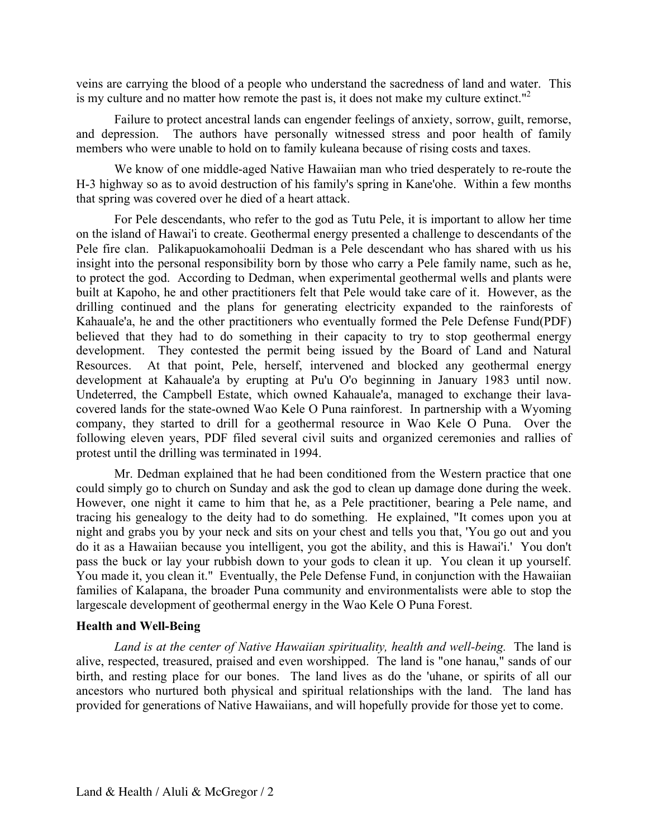veins are carrying the blood of a people who understand the sacredness of land and water. This is my culture and no matter how remote the past is, it does not make my culture extinct."<sup>2</sup>

Failure to protect ancestral lands can engender feelings of anxiety, sorrow, guilt, remorse, and depression. The authors have personally witnessed stress and poor health of family members who were unable to hold on to family kuleana because of rising costs and taxes.

We know of one middle-aged Native Hawaiian man who tried desperately to re-route the H-3 highway so as to avoid destruction of his family's spring in Kane'ohe. Within a few months that spring was covered over he died of a heart attack.

For Pele descendants, who refer to the god as Tutu Pele, it is important to allow her time on the island of Hawai'i to create. Geothermal energy presented a challenge to descendants of the Pele fire clan. Palikapuokamohoalii Dedman is a Pele descendant who has shared with us his insight into the personal responsibility born by those who carry a Pele family name, such as he, to protect the god. According to Dedman, when experimental geothermal wells and plants were built at Kapoho, he and other practitioners felt that Pele would take care of it. However, as the drilling continued and the plans for generating electricity expanded to the rainforests of Kahauale'a, he and the other practitioners who eventually formed the Pele Defense Fund(PDF) believed that they had to do something in their capacity to try to stop geothermal energy development. They contested the permit being issued by the Board of Land and Natural Resources. At that point, Pele, herself, intervened and blocked any geothermal energy development at Kahauale'a by erupting at Pu'u O'o beginning in January 1983 until now. Undeterred, the Campbell Estate, which owned Kahauale'a, managed to exchange their lavacovered lands for the state-owned Wao Kele O Puna rainforest. In partnership with a Wyoming company, they started to drill for a geothermal resource in Wao Kele O Puna. Over the following eleven years, PDF filed several civil suits and organized ceremonies and rallies of protest until the drilling was terminated in 1994.

 do it as a Hawaiian because you intelligent, you got the ability, and this is Hawai'i.' You don't Mr. Dedman explained that he had been conditioned from the Western practice that one could simply go to church on Sunday and ask the god to clean up damage done during the week. However, one night it came to him that he, as a Pele practitioner, bearing a Pele name, and tracing his genealogy to the deity had to do something. He explained, "It comes upon you at night and grabs you by your neck and sits on your chest and tells you that, 'You go out and you pass the buck or lay your rubbish down to your gods to clean it up. You clean it up yourself. You made it, you clean it." Eventually, the Pele Defense Fund, in conjunction with the Hawaiian families of Kalapana, the broader Puna community and environmentalists were able to stop the largescale development of geothermal energy in the Wao Kele O Puna Forest.

# **Health and Well-Being**

Land is at the center of Native Hawaiian spirituality, health and well-being. The land is alive, respected, treasured, praised and even worshipped. The land is "one hanau," sands of our birth, and resting place for our bones. The land lives as do the 'uhane, or spirits of all our ancestors who nurtured both physical and spiritual relationships with the land. The land has provided for generations of Native Hawaiians, and will hopefully provide for those yet to come.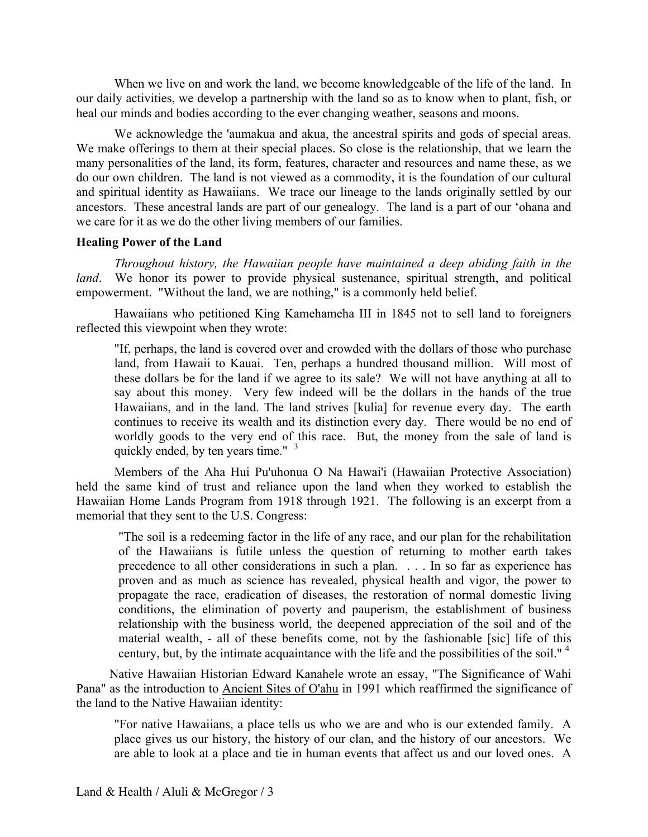When we live on and work the land, we become knowledgeable of the life of the land. In our daily activities, we develop a partnership with the land so as to know when to plant, fish, or heal our minds and bodies according to the ever changing weather, seasons and moons.

We acknowledge the 'aumakua and akua, the ancestral spirits and gods of special areas. We make offerings to them at their special places. So close is the relationship, that we learn the many personalities of the land, its form, features, character and resources and name these, as we do our own children. The land is not viewed as a commodity, it is the foundation of our cultural and spiritual identity as Hawaiians. We trace our lineage to the lands originally settled by our ancestors. These ancestral lands are part of our genealogy. The land is a part of our 'ohana and we care for it as we do the other living members of our families.

### **Healing Power of the Land**

*Throughout history, the Hawaiian people have maintained a deep abiding faith in the land*. We honor its power to provide physical sustenance, spiritual strength, and political empowerment. "Without the land, we are nothing," is a commonly held belief.

Hawaiians who petitioned King Kamehameha III in 1845 not to sell land to foreigners reflected this viewpoint when they wrote:

"If, perhaps, the land is covered over and crowded with the dollars of those who purchase land, from Hawaii to Kauai. Ten, perhaps a hundred thousand million. Will most of these dollars be for the land if we agree to its sale? We will not have anything at all to say about this money. Very few indeed will be the dollars in the hands of the true Hawaiians, and in the land. The land strives [kulia] for revenue every day. The earth continues to receive its wealth and its distinction every day. There would be no end of worldly goods to the very end of this race. But, the money from the sale of land is quickly ended, by ten years time." <sup>3</sup>

Members of the Aha Hui Pu'uhonua O Na Hawai'i (Hawaiian Protective Association) held the same kind of trust and reliance upon the land when they worked to establish the Hawaiian Home Lands Program from 1918 through 1921. The following is an excerpt from a memorial that they sent to the U.S. Congress:

"The soil is a redeeming factor in the life of any race, and our plan for the rehabilitation of the Hawaiians is futile unless the question of returning to mother earth takes precedence to all other considerations in such a plan. . . . In so far as experience has proven and as much as science has revealed, physical health and vigor, the power to propagate the race, eradication of diseases, the restoration of normal domestic living conditions, the elimination of poverty and pauperism, the establishment of business relationship with the business world, the deepened appreciation of the soil and of the material wealth, - all of these benefits come, not by the fashionable [sic] life of this century, but, by the intimate acquaintance with the life and the possibilities of the soil."  $4$ 

Native Hawaiian Historian Edward Kanahele wrote an essay, "The Significance of Wahi Pana" as the introduction to Ancient Sites of O'ahu in 1991 which reaffirmed the significance of the land to the Native Hawaiian identity:

"For native Hawaiians, a place tells us who we are and who is our extended family. A place gives us our history, the history of our clan, and the history of our ancestors. We are able to look at a place and tie in human events that affect us and our loved ones. A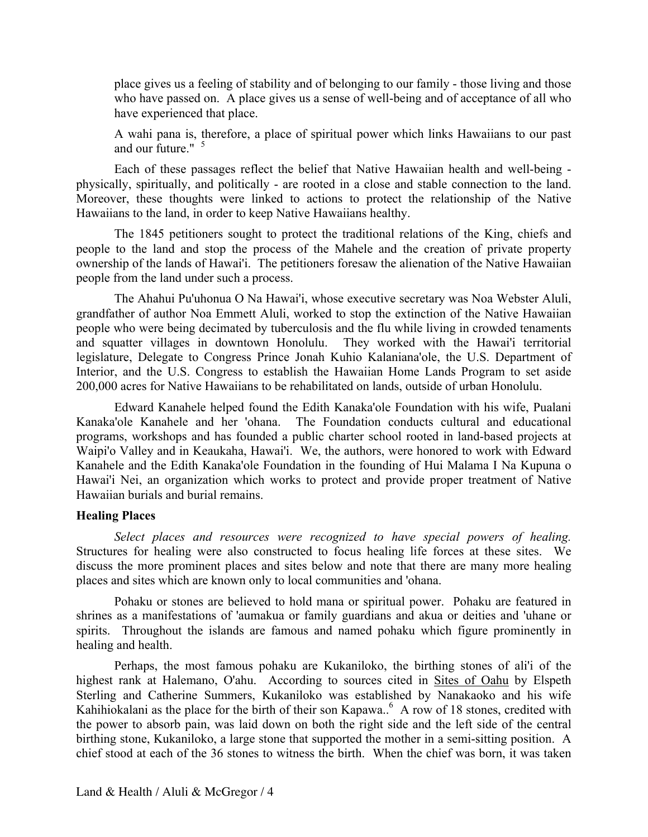place gives us a feeling of stability and of belonging to our family - those living and those who have passed on. A place gives us a sense of well-being and of acceptance of all who have experienced that place.

A wahi pana is, therefore, a place of spiritual power which links Hawaiians to our past and our future."  $5$ 

Each of these passages reflect the belief that Native Hawaiian health and well-being physically, spiritually, and politically - are rooted in a close and stable connection to the land. Moreover, these thoughts were linked to actions to protect the relationship of the Native Hawaiians to the land, in order to keep Native Hawaiians healthy.

The 1845 petitioners sought to protect the traditional relations of the King, chiefs and people to the land and stop the process of the Mahele and the creation of private property ownership of the lands of Hawai'i. The petitioners foresaw the alienation of the Native Hawaiian people from the land under such a process.

The Ahahui Pu'uhonua O Na Hawai'i, whose executive secretary was Noa Webster Aluli, grandfather of author Noa Emmett Aluli, worked to stop the extinction of the Native Hawaiian people who were being decimated by tuberculosis and the flu while living in crowded tenaments and squatter villages in downtown Honolulu. They worked with the Hawai'i territorial legislature, Delegate to Congress Prince Jonah Kuhio Kalaniana'ole, the U.S. Department of Interior, and the U.S. Congress to establish the Hawaiian Home Lands Program to set aside 200,000 acres for Native Hawaiians to be rehabilitated on lands, outside of urban Honolulu.

Edward Kanahele helped found the Edith Kanaka'ole Foundation with his wife, Pualani Kanaka'ole Kanahele and her 'ohana. The Foundation conducts cultural and educational programs, workshops and has founded a public charter school rooted in land-based projects at Waipi'o Valley and in Keaukaha, Hawai'i. We, the authors, were honored to work with Edward Kanahele and the Edith Kanaka'ole Foundation in the founding of Hui Malama I Na Kupuna o Hawai'i Nei, an organization which works to protect and provide proper treatment of Native Hawaiian burials and burial remains.

### **Healing Places**

*Select places and resources were recognized to have special powers of healing.*  Structures for healing were also constructed to focus healing life forces at these sites. We discuss the more prominent places and sites below and note that there are many more healing places and sites which are known only to local communities and 'ohana.

Pohaku or stones are believed to hold mana or spiritual power. Pohaku are featured in shrines as a manifestations of 'aumakua or family guardians and akua or deities and 'uhane or spirits. Throughout the islands are famous and named pohaku which figure prominently in healing and health.

Kahihiokalani as the place for the birth of their son Kapawa..<sup>6</sup> A row of 18 stones, credited with Perhaps, the most famous pohaku are Kukaniloko, the birthing stones of ali'i of the highest rank at Halemano, O'ahu. According to sources cited in Sites of Oahu by Elspeth Sterling and Catherine Summers, Kukaniloko was established by Nanakaoko and his wife the power to absorb pain, was laid down on both the right side and the left side of the central birthing stone, Kukaniloko, a large stone that supported the mother in a semi-sitting position. A chief stood at each of the 36 stones to witness the birth. When the chief was born, it was taken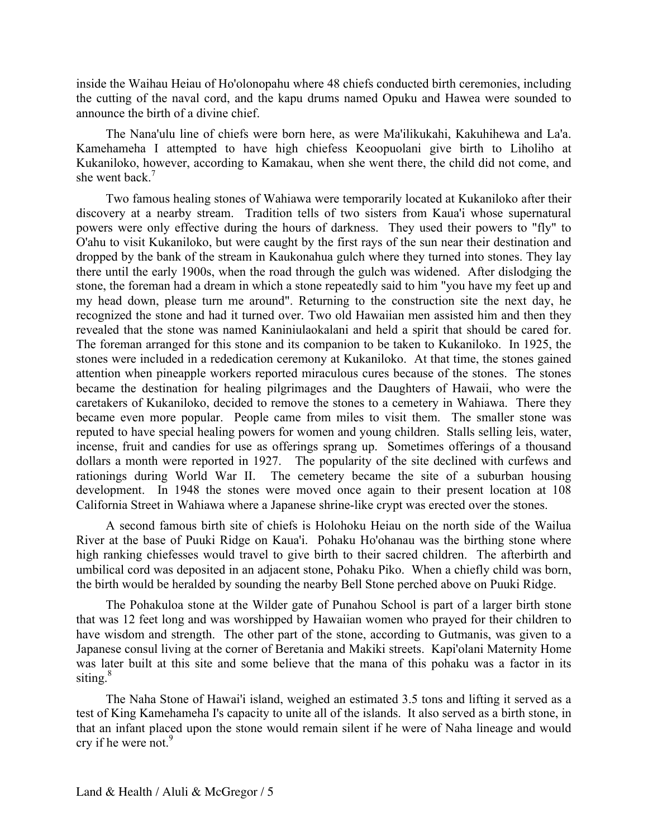inside the Waihau Heiau of Ho'olonopahu where 48 chiefs conducted birth ceremonies, including the cutting of the naval cord, and the kapu drums named Opuku and Hawea were sounded to announce the birth of a divine chief.

The Nana'ulu line of chiefs were born here, as were Ma'ilikukahi, Kakuhihewa and La'a. Kamehameha I attempted to have high chiefess Keoopuolani give birth to Liholiho at Kukaniloko, however, according to Kamakau, when she went there, the child did not come, and she went back  $<sup>7</sup>$ </sup>

 dollars a month were reported in 1927. The popularity of the site declined with curfews and Two famous healing stones of Wahiawa were temporarily located at Kukaniloko after their discovery at a nearby stream. Tradition tells of two sisters from Kaua'i whose supernatural powers were only effective during the hours of darkness. They used their powers to "fly" to O'ahu to visit Kukaniloko, but were caught by the first rays of the sun near their destination and dropped by the bank of the stream in Kaukonahua gulch where they turned into stones. They lay there until the early 1900s, when the road through the gulch was widened. After dislodging the stone, the foreman had a dream in which a stone repeatedly said to him "you have my feet up and my head down, please turn me around". Returning to the construction site the next day, he recognized the stone and had it turned over. Two old Hawaiian men assisted him and then they revealed that the stone was named Kaniniulaokalani and held a spirit that should be cared for. The foreman arranged for this stone and its companion to be taken to Kukaniloko. In 1925, the stones were included in a rededication ceremony at Kukaniloko. At that time, the stones gained attention when pineapple workers reported miraculous cures because of the stones. The stones became the destination for healing pilgrimages and the Daughters of Hawaii, who were the caretakers of Kukaniloko, decided to remove the stones to a cemetery in Wahiawa. There they became even more popular. People came from miles to visit them. The smaller stone was reputed to have special healing powers for women and young children. Stalls selling leis, water, incense, fruit and candies for use as offerings sprang up. Sometimes offerings of a thousand rationings during World War II. The cemetery became the site of a suburban housing development. In 1948 the stones were moved once again to their present location at 108 California Street in Wahiawa where a Japanese shrine-like crypt was erected over the stones.

A second famous birth site of chiefs is Holohoku Heiau on the north side of the Wailua River at the base of Puuki Ridge on Kaua'i. Pohaku Ho'ohanau was the birthing stone where high ranking chiefesses would travel to give birth to their sacred children. The afterbirth and umbilical cord was deposited in an adjacent stone, Pohaku Piko. When a chiefly child was born, the birth would be heralded by sounding the nearby Bell Stone perched above on Puuki Ridge.

The Pohakuloa stone at the Wilder gate of Punahou School is part of a larger birth stone that was 12 feet long and was worshipped by Hawaiian women who prayed for their children to have wisdom and strength. The other part of the stone, according to Gutmanis, was given to a Japanese consul living at the corner of Beretania and Makiki streets. Kapi'olani Maternity Home was later built at this site and some believe that the mana of this pohaku was a factor in its siting $8$ 

The Naha Stone of Hawai'i island, weighed an estimated 3.5 tons and lifting it served as a test of King Kamehameha I's capacity to unite all of the islands. It also served as a birth stone, in that an infant placed upon the stone would remain silent if he were of Naha lineage and would cry if he were not.<sup>9</sup>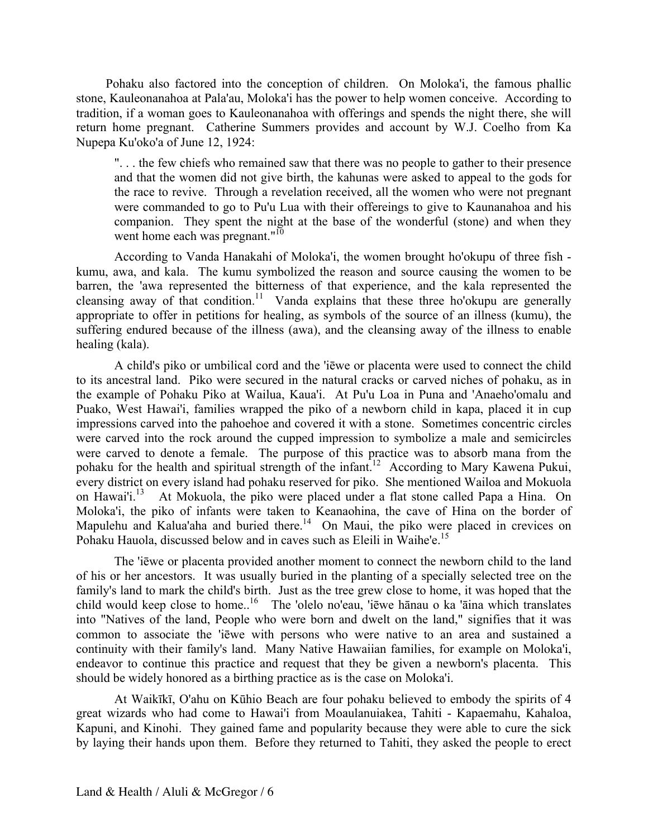Pohaku also factored into the conception of children. On Moloka'i, the famous phallic stone, Kauleonanahoa at Pala'au, Moloka'i has the power to help women conceive. According to tradition, if a woman goes to Kauleonanahoa with offerings and spends the night there, she will return home pregnant. Catherine Summers provides and account by W.J. Coelho from Ka Nupepa Ku'oko'a of June 12, 1924:

". . . the few chiefs who remained saw that there was no people to gather to their presence and that the women did not give birth, the kahunas were asked to appeal to the gods for the race to revive. Through a revelation received, all the women who were not pregnant were commanded to go to Pu'u Lua with their offereings to give to Kaunanahoa and his companion. They spent the night at the base of the wonderful (stone) and when they went home each was pregnant."<sup>10</sup>

cleansing away of that condition.<sup>11</sup> Vanda explains that these three ho'okupu are generally According to Vanda Hanakahi of Moloka'i, the women brought ho'okupu of three fish kumu, awa, and kala. The kumu symbolized the reason and source causing the women to be barren, the 'awa represented the bitterness of that experience, and the kala represented the appropriate to offer in petitions for healing, as symbols of the source of an illness (kumu), the suffering endured because of the illness (awa), and the cleansing away of the illness to enable healing (kala).

pohaku for the health and spiritual strength of the infant.<sup>12</sup> According to Mary Kawena Pukui, on Hawai'i.<sup>13</sup> A child's piko or umbilical cord and the 'iēwe or placenta were used to connect the child to its ancestral land. Piko were secured in the natural cracks or carved niches of pohaku, as in the example of Pohaku Piko at Wailua, Kaua'i. At Pu'u Loa in Puna and 'Anaeho'omalu and Puako, West Hawai'i, families wrapped the piko of a newborn child in kapa, placed it in cup impressions carved into the pahoehoe and covered it with a stone. Sometimes concentric circles were carved into the rock around the cupped impression to symbolize a male and semicircles were carved to denote a female. The purpose of this practice was to absorb mana from the every district on every island had pohaku reserved for piko. She mentioned Wailoa and Mokuola At Mokuola, the piko were placed under a flat stone called Papa a Hina. On Moloka'i, the piko of infants were taken to Keanaohina, the cave of Hina on the border of Mapulehu and Kalua'aha and buried there.<sup>14</sup> On Maui, the piko were placed in crevices on Pohaku Hauola, discussed below and in caves such as Eleili in Waihe'e.<sup>15</sup>

child would keep close to home..<sup>16</sup> The 'olelo no'eau, 'iēwe hānau o ka 'āina which translates The 'iēwe or placenta provided another moment to connect the newborn child to the land of his or her ancestors. It was usually buried in the planting of a specially selected tree on the family's land to mark the child's birth. Just as the tree grew close to home, it was hoped that the into "Natives of the land, People who were born and dwelt on the land," signifies that it was common to associate the 'iēwe with persons who were native to an area and sustained a continuity with their family's land. Many Native Hawaiian families, for example on Moloka'i, endeavor to continue this practice and request that they be given a newborn's placenta. This should be widely honored as a birthing practice as is the case on Moloka'i.

At Waikīkī, O'ahu on Kūhio Beach are four pohaku believed to embody the spirits of 4 great wizards who had come to Hawai'i from Moaulanuiakea, Tahiti - Kapaemahu, Kahaloa, Kapuni, and Kinohi. They gained fame and popularity because they were able to cure the sick by laying their hands upon them. Before they returned to Tahiti, they asked the people to erect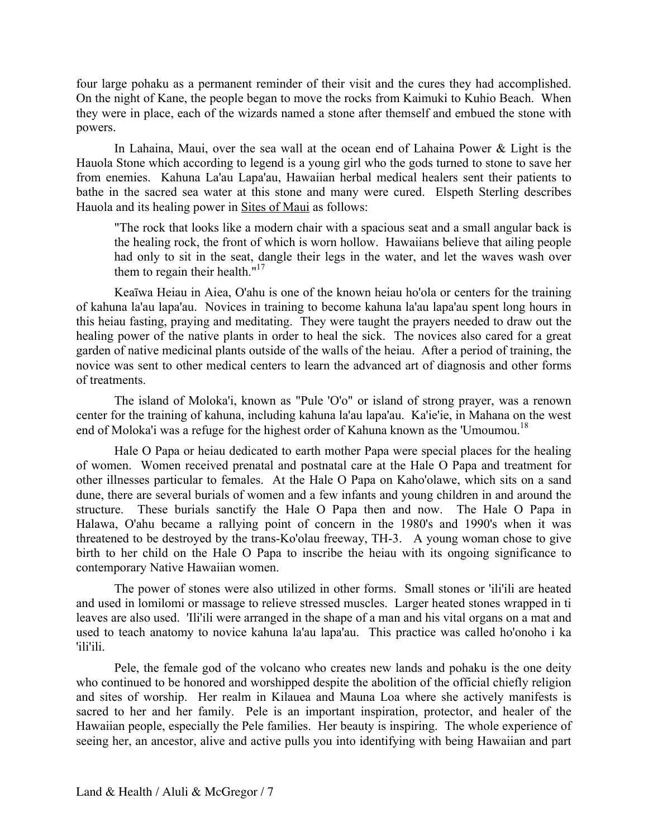four large pohaku as a permanent reminder of their visit and the cures they had accomplished. On the night of Kane, the people began to move the rocks from Kaimuki to Kuhio Beach. When they were in place, each of the wizards named a stone after themself and embued the stone with powers.

In Lahaina, Maui, over the sea wall at the ocean end of Lahaina Power & Light is the Hauola Stone which according to legend is a young girl who the gods turned to stone to save her from enemies. Kahuna La'au Lapa'au, Hawaiian herbal medical healers sent their patients to bathe in the sacred sea water at this stone and many were cured. Elspeth Sterling describes Hauola and its healing power in Sites of Maui as follows:

"The rock that looks like a modern chair with a spacious seat and a small angular back is the healing rock, the front of which is worn hollow. Hawaiians believe that ailing people had only to sit in the seat, dangle their legs in the water, and let the waves wash over them to regain their health. $17$ 

Keaīwa Heiau in Aiea, O'ahu is one of the known heiau ho'ola or centers for the training of kahuna la'au lapa'au. Novices in training to become kahuna la'au lapa'au spent long hours in this heiau fasting, praying and meditating. They were taught the prayers needed to draw out the healing power of the native plants in order to heal the sick. The novices also cared for a great garden of native medicinal plants outside of the walls of the heiau. After a period of training, the novice was sent to other medical centers to learn the advanced art of diagnosis and other forms of treatments.

The island of Moloka'i, known as "Pule 'O'o" or island of strong prayer, was a renown center for the training of kahuna, including kahuna la'au lapa'au. Ka'ie'ie, in Mahana on the west end of Moloka'i was a refuge for the highest order of Kahuna known as the 'Umoumou.<sup>18</sup>

 threatened to be destroyed by the trans-Ko'olau freeway, TH-3. A young woman chose to give Hale O Papa or heiau dedicated to earth mother Papa were special places for the healing of women. Women received prenatal and postnatal care at the Hale O Papa and treatment for other illnesses particular to females. At the Hale O Papa on Kaho'olawe, which sits on a sand dune, there are several burials of women and a few infants and young children in and around the structure. These burials sanctify the Hale O Papa then and now. The Hale O Papa in Halawa, O'ahu became a rallying point of concern in the 1980's and 1990's when it was birth to her child on the Hale O Papa to inscribe the heiau with its ongoing significance to contemporary Native Hawaiian women.

The power of stones were also utilized in other forms. Small stones or 'ili'ili are heated and used in lomilomi or massage to relieve stressed muscles. Larger heated stones wrapped in ti leaves are also used. 'Ili'ili were arranged in the shape of a man and his vital organs on a mat and used to teach anatomy to novice kahuna la'au lapa'au. This practice was called ho'onoho i ka 'ili'ili.

 Hawaiian people, especially the Pele families. Her beauty is inspiring. The whole experience of Pele, the female god of the volcano who creates new lands and pohaku is the one deity who continued to be honored and worshipped despite the abolition of the official chiefly religion and sites of worship. Her realm in Kilauea and Mauna Loa where she actively manifests is sacred to her and her family. Pele is an important inspiration, protector, and healer of the seeing her, an ancestor, alive and active pulls you into identifying with being Hawaiian and part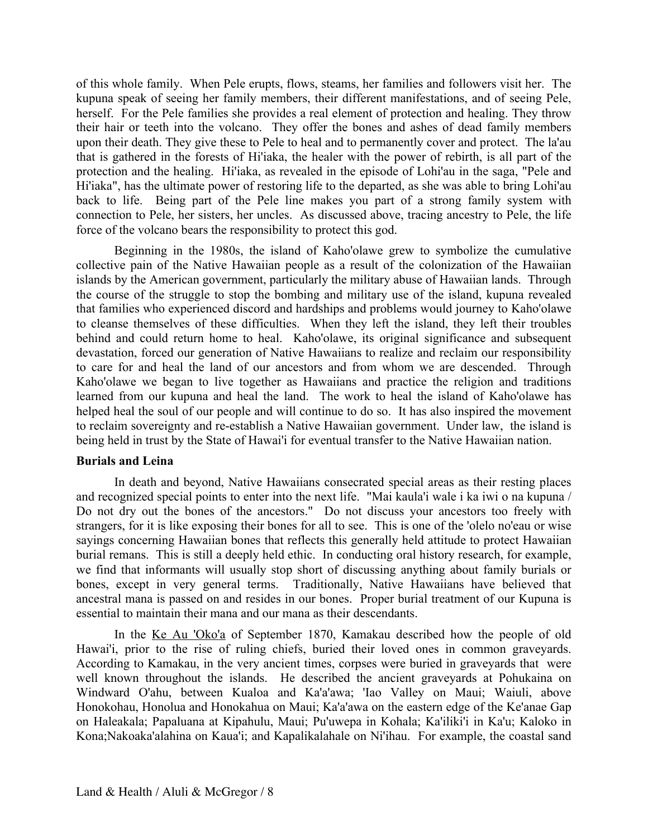of this whole family. When Pele erupts, flows, steams, her families and followers visit her. The kupuna speak of seeing her family members, their different manifestations, and of seeing Pele, herself. For the Pele families she provides a real element of protection and healing. They throw their hair or teeth into the volcano. They offer the bones and ashes of dead family members upon their death. They give these to Pele to heal and to permanently cover and protect. The la'au that is gathered in the forests of Hi'iaka, the healer with the power of rebirth, is all part of the protection and the healing. Hi'iaka, as revealed in the episode of Lohi'au in the saga, "Pele and Hi'iaka", has the ultimate power of restoring life to the departed, as she was able to bring Lohi'au back to life. Being part of the Pele line makes you part of a strong family system with connection to Pele, her sisters, her uncles. As discussed above, tracing ancestry to Pele, the life force of the volcano bears the responsibility to protect this god.

 to reclaim sovereignty and re-establish a Native Hawaiian government. Under law, the island is Beginning in the 1980s, the island of Kaho'olawe grew to symbolize the cumulative collective pain of the Native Hawaiian people as a result of the colonization of the Hawaiian islands by the American government, particularly the military abuse of Hawaiian lands. Through the course of the struggle to stop the bombing and military use of the island, kupuna revealed that families who experienced discord and hardships and problems would journey to Kaho'olawe to cleanse themselves of these difficulties. When they left the island, they left their troubles behind and could return home to heal. Kaho'olawe, its original significance and subsequent devastation, forced our generation of Native Hawaiians to realize and reclaim our responsibility to care for and heal the land of our ancestors and from whom we are descended. Through Kaho'olawe we began to live together as Hawaiians and practice the religion and traditions learned from our kupuna and heal the land. The work to heal the island of Kaho'olawe has helped heal the soul of our people and will continue to do so. It has also inspired the movement being held in trust by the State of Hawai'i for eventual transfer to the Native Hawaiian nation.

# **Burials and Leina**

In death and beyond, Native Hawaiians consecrated special areas as their resting places and recognized special points to enter into the next life. "Mai kaula'i wale i ka iwi o na kupuna / Do not dry out the bones of the ancestors." Do not discuss your ancestors too freely with strangers, for it is like exposing their bones for all to see. This is one of the 'olelo no'eau or wise sayings concerning Hawaiian bones that reflects this generally held attitude to protect Hawaiian burial remans. This is still a deeply held ethic. In conducting oral history research, for example, we find that informants will usually stop short of discussing anything about family burials or bones, except in very general terms. Traditionally, Native Hawaiians have believed that ancestral mana is passed on and resides in our bones. Proper burial treatment of our Kupuna is essential to maintain their mana and our mana as their descendants.

In the Ke Au 'Oko'a of September 1870, Kamakau described how the people of old Hawai'i, prior to the rise of ruling chiefs, buried their loved ones in common graveyards. According to Kamakau, in the very ancient times, corpses were buried in graveyards that were well known throughout the islands. He described the ancient graveyards at Pohukaina on Windward O'ahu, between Kualoa and Ka'a'awa; 'Iao Valley on Maui; Waiuli, above Honokohau, Honolua and Honokahua on Maui; Ka'a'awa on the eastern edge of the Ke'anae Gap on Haleakala; Papaluana at Kipahulu, Maui; Pu'uwepa in Kohala; Ka'iliki'i in Ka'u; Kaloko in Kona;Nakoaka'alahina on Kaua'i; and Kapalikalahale on Ni'ihau. For example, the coastal sand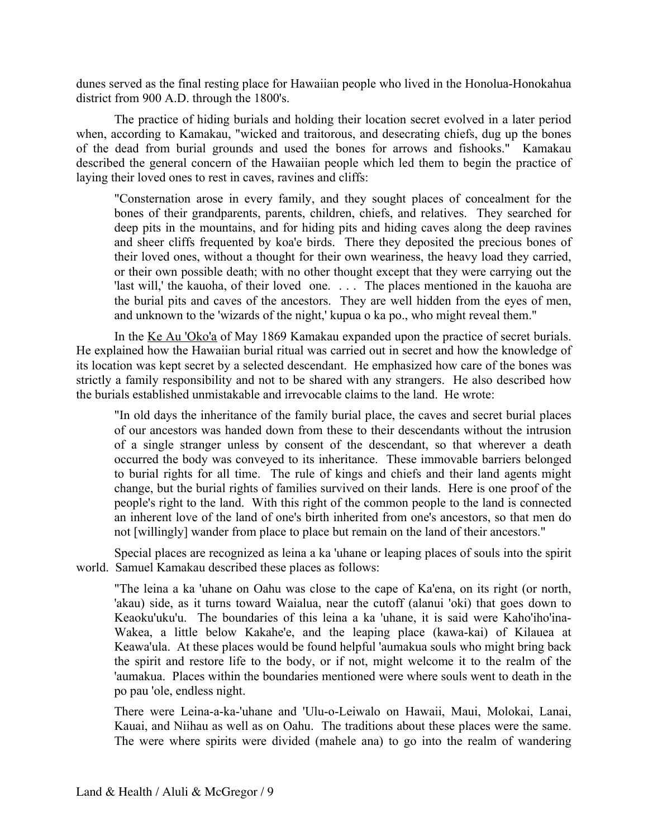dunes served as the final resting place for Hawaiian people who lived in the Honolua-Honokahua district from 900 A.D. through the 1800's.

The practice of hiding burials and holding their location secret evolved in a later period when, according to Kamakau, "wicked and traitorous, and desecrating chiefs, dug up the bones of the dead from burial grounds and used the bones for arrows and fishooks." Kamakau described the general concern of the Hawaiian people which led them to begin the practice of laying their loved ones to rest in caves, ravines and cliffs:

 'last will,' the kauoha, of their loved one. . . . The places mentioned in the kauoha are "Consternation arose in every family, and they sought places of concealment for the bones of their grandparents, parents, children, chiefs, and relatives. They searched for deep pits in the mountains, and for hiding pits and hiding caves along the deep ravines and sheer cliffs frequented by koa'e birds. There they deposited the precious bones of their loved ones, without a thought for their own weariness, the heavy load they carried, or their own possible death; with no other thought except that they were carrying out the the burial pits and caves of the ancestors. They are well hidden from the eyes of men, and unknown to the 'wizards of the night,' kupua o ka po., who might reveal them."

In the Ke Au 'Oko'a of May 1869 Kamakau expanded upon the practice of secret burials. He explained how the Hawaiian burial ritual was carried out in secret and how the knowledge of its location was kept secret by a selected descendant. He emphasized how care of the bones was strictly a family responsibility and not to be shared with any strangers. He also described how the burials established unmistakable and irrevocable claims to the land. He wrote:

"In old days the inheritance of the family burial place, the caves and secret burial places of our ancestors was handed down from these to their descendants without the intrusion of a single stranger unless by consent of the descendant, so that wherever a death occurred the body was conveyed to its inheritance. These immovable barriers belonged to burial rights for all time. The rule of kings and chiefs and their land agents might change, but the burial rights of families survived on their lands. Here is one proof of the people's right to the land. With this right of the common people to the land is connected an inherent love of the land of one's birth inherited from one's ancestors, so that men do not [willingly] wander from place to place but remain on the land of their ancestors."

Special places are recognized as leina a ka 'uhane or leaping places of souls into the spirit world. Samuel Kamakau described these places as follows:

"The leina a ka 'uhane on Oahu was close to the cape of Ka'ena, on its right (or north, 'akau) side, as it turns toward Waialua, near the cutoff (alanui 'oki) that goes down to Keaoku'uku'u. The boundaries of this leina a ka 'uhane, it is said were Kaho'iho'ina-Wakea, a little below Kakahe'e, and the leaping place (kawa-kai) of Kilauea at Keawa'ula. At these places would be found helpful 'aumakua souls who might bring back the spirit and restore life to the body, or if not, might welcome it to the realm of the 'aumakua. Places within the boundaries mentioned were where souls went to death in the po pau 'ole, endless night.

There were Leina-a-ka-'uhane and 'Ulu-o-Leiwalo on Hawaii, Maui, Molokai, Lanai, Kauai, and Niihau as well as on Oahu. The traditions about these places were the same. The were where spirits were divided (mahele ana) to go into the realm of wandering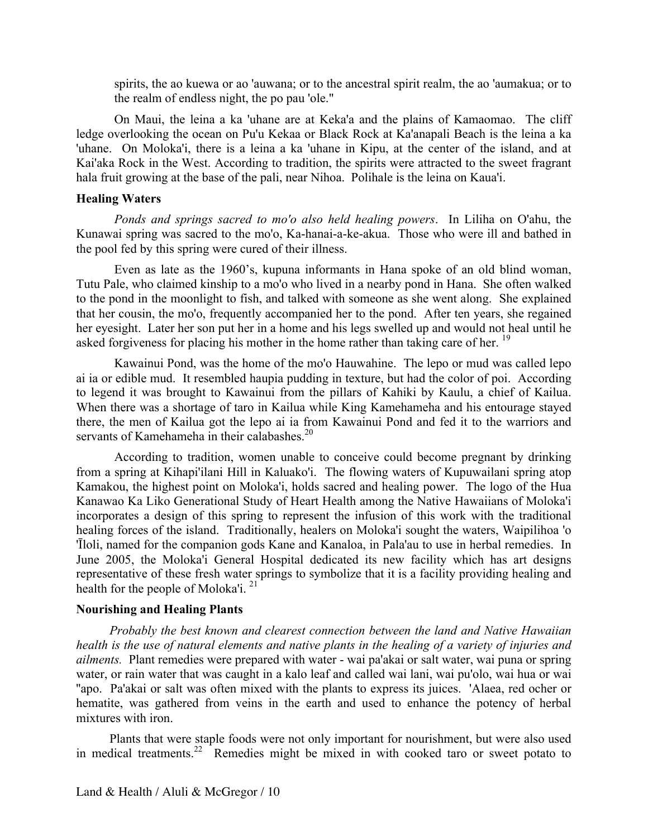spirits, the ao kuewa or ao 'auwana; or to the ancestral spirit realm, the ao 'aumakua; or to the realm of endless night, the po pau 'ole."

On Maui, the leina a ka 'uhane are at Keka'a and the plains of Kamaomao. The cliff ledge overlooking the ocean on Pu'u Kekaa or Black Rock at Ka'anapali Beach is the leina a ka 'uhane. On Moloka'i, there is a leina a ka 'uhane in Kipu, at the center of the island, and at Kai'aka Rock in the West. According to tradition, the spirits were attracted to the sweet fragrant hala fruit growing at the base of the pali, near Nihoa. Polihale is the leina on Kaua'i.

### **Healing Waters**

*Ponds and springs sacred to mo'o also held healing powers*. In Liliha on O'ahu, the Kunawai spring was sacred to the mo'o, Ka-hanai-a-ke-akua. Those who were ill and bathed in the pool fed by this spring were cured of their illness.

asked forgiveness for placing his mother in the home rather than taking care of her.<sup>19</sup> Even as late as the 1960's, kupuna informants in Hana spoke of an old blind woman, Tutu Pale, who claimed kinship to a mo'o who lived in a nearby pond in Hana. She often walked to the pond in the moonlight to fish, and talked with someone as she went along. She explained that her cousin, the mo'o, frequently accompanied her to the pond. After ten years, she regained her eyesight. Later her son put her in a home and his legs swelled up and would not heal until he

Kawainui Pond, was the home of the mo'o Hauwahine. The lepo or mud was called lepo ai ia or edible mud. It resembled haupia pudding in texture, but had the color of poi. According to legend it was brought to Kawainui from the pillars of Kahiki by Kaulu, a chief of Kailua. When there was a shortage of taro in Kailua while King Kamehameha and his entourage stayed there, the men of Kailua got the lepo ai ia from Kawainui Pond and fed it to the warriors and servants of Kamehameha in their calabashes.<sup>20</sup>

health for the people of Moloka'i.  $21$ According to tradition, women unable to conceive could become pregnant by drinking from a spring at Kihapi'ilani Hill in Kaluako'i. The flowing waters of Kupuwailani spring atop Kamakou, the highest point on Moloka'i, holds sacred and healing power. The logo of the Hua Kanawao Ka Liko Generational Study of Heart Health among the Native Hawaiians of Moloka'i incorporates a design of this spring to represent the infusion of this work with the traditional healing forces of the island. Traditionally, healers on Moloka'i sought the waters, Waipilihoa 'o 'Īloli, named for the companion gods Kane and Kanaloa, in Pala'au to use in herbal remedies. In June 2005, the Moloka'i General Hospital dedicated its new facility which has art designs representative of these fresh water springs to symbolize that it is a facility providing healing and

# **Nourishing and Healing Plants**

*Probably the best known and clearest connection between the land and Native Hawaiian health is the use of natural elements and native plants in the healing of a variety of injuries and ailments.* Plant remedies were prepared with water - wai pa'akai or salt water, wai puna or spring water, or rain water that was caught in a kalo leaf and called wai lani, wai pu'olo, wai hua or wai ''apo. Pa'akai or salt was often mixed with the plants to express its juices. 'Alaea, red ocher or hematite, was gathered from veins in the earth and used to enhance the potency of herbal mixtures with iron.

in medical treatments.<sup>22</sup> Remedies might be mixed in with cooked taro or sweet potato to Plants that were staple foods were not only important for nourishment, but were also used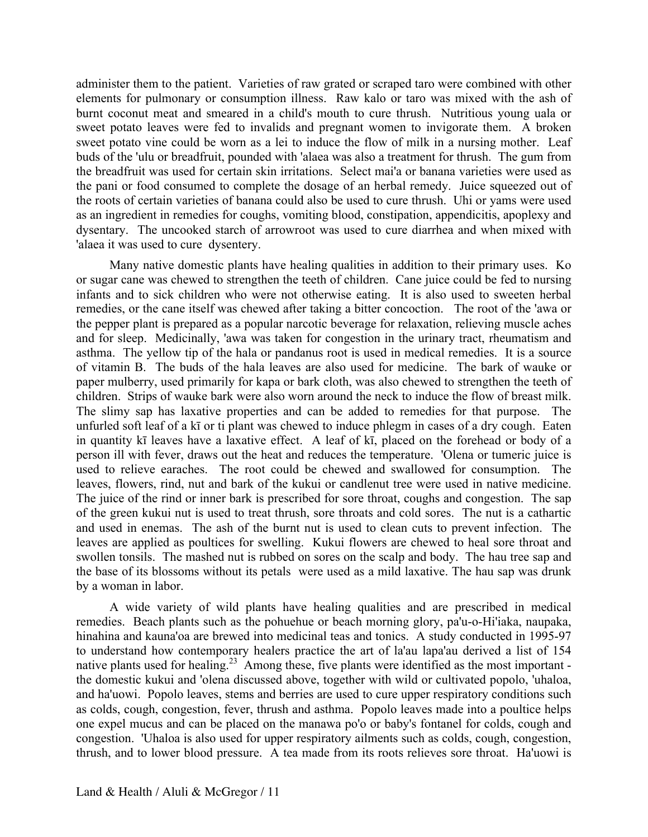administer them to the patient. Varieties of raw grated or scraped taro were combined with other elements for pulmonary or consumption illness. Raw kalo or taro was mixed with the ash of burnt coconut meat and smeared in a child's mouth to cure thrush. Nutritious young uala or sweet potato leaves were fed to invalids and pregnant women to invigorate them. A broken sweet potato vine could be worn as a lei to induce the flow of milk in a nursing mother. Leaf buds of the 'ulu or breadfruit, pounded with 'alaea was also a treatment for thrush. The gum from the breadfruit was used for certain skin irritations. Select mai'a or banana varieties were used as the pani or food consumed to complete the dosage of an herbal remedy. Juice squeezed out of the roots of certain varieties of banana could also be used to cure thrush. Uhi or yams were used as an ingredient in remedies for coughs, vomiting blood, constipation, appendicitis, apoplexy and dysentary. The uncooked starch of arrowroot was used to cure diarrhea and when mixed with 'alaea it was used to cure dysentery.

 remedies, or the cane itself was chewed after taking a bitter concoction. The root of the 'awa or Many native domestic plants have healing qualities in addition to their primary uses. Ko or sugar cane was chewed to strengthen the teeth of children. Cane juice could be fed to nursing infants and to sick children who were not otherwise eating. It is also used to sweeten herbal the pepper plant is prepared as a popular narcotic beverage for relaxation, relieving muscle aches and for sleep. Medicinally, 'awa was taken for congestion in the urinary tract, rheumatism and asthma. The yellow tip of the hala or pandanus root is used in medical remedies. It is a source of vitamin B. The buds of the hala leaves are also used for medicine. The bark of wauke or paper mulberry, used primarily for kapa or bark cloth, was also chewed to strengthen the teeth of children. Strips of wauke bark were also worn around the neck to induce the flow of breast milk. The slimy sap has laxative properties and can be added to remedies for that purpose. The unfurled soft leaf of a kī or ti plant was chewed to induce phlegm in cases of a dry cough. Eaten in quantity kī leaves have a laxative effect. A leaf of kī, placed on the forehead or body of a person ill with fever, draws out the heat and reduces the temperature. 'Olena or tumeric juice is used to relieve earaches. The root could be chewed and swallowed for consumption. The leaves, flowers, rind, nut and bark of the kukui or candlenut tree were used in native medicine. The juice of the rind or inner bark is prescribed for sore throat, coughs and congestion. The sap of the green kukui nut is used to treat thrush, sore throats and cold sores. The nut is a cathartic and used in enemas. The ash of the burnt nut is used to clean cuts to prevent infection. The leaves are applied as poultices for swelling. Kukui flowers are chewed to heal sore throat and swollen tonsils. The mashed nut is rubbed on sores on the scalp and body. The hau tree sap and the base of its blossoms without its petals were used as a mild laxative. The hau sap was drunk by a woman in labor.

native plants used for healing.<sup>23</sup> Among these, five plants were identified as the most important -A wide variety of wild plants have healing qualities and are prescribed in medical remedies. Beach plants such as the pohuehue or beach morning glory, pa'u-o-Hi'iaka, naupaka, hinahina and kauna'oa are brewed into medicinal teas and tonics. A study conducted in 1995-97 to understand how contemporary healers practice the art of la'au lapa'au derived a list of 154 the domestic kukui and 'olena discussed above, together with wild or cultivated popolo, 'uhaloa, and ha'uowi. Popolo leaves, stems and berries are used to cure upper respiratory conditions such as colds, cough, congestion, fever, thrush and asthma. Popolo leaves made into a poultice helps one expel mucus and can be placed on the manawa po'o or baby's fontanel for colds, cough and congestion. 'Uhaloa is also used for upper respiratory ailments such as colds, cough, congestion, thrush, and to lower blood pressure. A tea made from its roots relieves sore throat. Ha'uowi is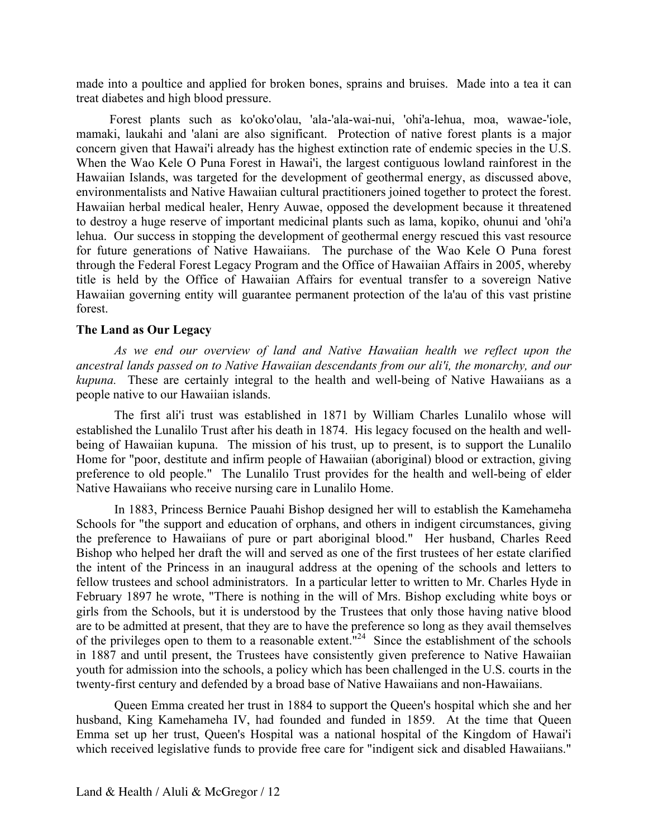made into a poultice and applied for broken bones, sprains and bruises. Made into a tea it can treat diabetes and high blood pressure.

Forest plants such as ko'oko'olau, 'ala-'ala-wai-nui, 'ohi'a-lehua, moa, wawae-'iole, mamaki, laukahi and 'alani are also significant. Protection of native forest plants is a major concern given that Hawai'i already has the highest extinction rate of endemic species in the U.S. When the Wao Kele O Puna Forest in Hawai'i, the largest contiguous lowland rainforest in the Hawaiian Islands, was targeted for the development of geothermal energy, as discussed above, environmentalists and Native Hawaiian cultural practitioners joined together to protect the forest. Hawaiian herbal medical healer, Henry Auwae, opposed the development because it threatened to destroy a huge reserve of important medicinal plants such as lama, kopiko, ohunui and 'ohi'a lehua. Our success in stopping the development of geothermal energy rescued this vast resource for future generations of Native Hawaiians. The purchase of the Wao Kele O Puna forest through the Federal Forest Legacy Program and the Office of Hawaiian Affairs in 2005, whereby title is held by the Office of Hawaiian Affairs for eventual transfer to a sovereign Native Hawaiian governing entity will guarantee permanent protection of the la'au of this vast pristine forest.

# **The Land as Our Legacy**

 *kupuna.* These are certainly integral to the health and well-being of Native Hawaiians as a *As we end our overview of land and Native Hawaiian health we reflect upon the ancestral lands passed on to Native Hawaiian descendants from our ali'i, the monarchy, and our*  people native to our Hawaiian islands.

The first ali'i trust was established in 1871 by William Charles Lunalilo whose will established the Lunalilo Trust after his death in 1874. His legacy focused on the health and wellbeing of Hawaiian kupuna. The mission of his trust, up to present, is to support the Lunalilo Home for "poor, destitute and infirm people of Hawaiian (aboriginal) blood or extraction, giving preference to old people." The Lunalilo Trust provides for the health and well-being of elder Native Hawaiians who receive nursing care in Lunalilo Home.

of the privileges open to them to a reasonable extent. $"^{24}$  Since the establishment of the schools In 1883, Princess Bernice Pauahi Bishop designed her will to establish the Kamehameha Schools for "the support and education of orphans, and others in indigent circumstances, giving the preference to Hawaiians of pure or part aboriginal blood." Her husband, Charles Reed Bishop who helped her draft the will and served as one of the first trustees of her estate clarified the intent of the Princess in an inaugural address at the opening of the schools and letters to fellow trustees and school administrators. In a particular letter to written to Mr. Charles Hyde in February 1897 he wrote, "There is nothing in the will of Mrs. Bishop excluding white boys or girls from the Schools, but it is understood by the Trustees that only those having native blood are to be admitted at present, that they are to have the preference so long as they avail themselves in 1887 and until present, the Trustees have consistently given preference to Native Hawaiian youth for admission into the schools, a policy which has been challenged in the U.S. courts in the twenty-first century and defended by a broad base of Native Hawaiians and non-Hawaiians.

Queen Emma created her trust in 1884 to support the Queen's hospital which she and her husband, King Kamehameha IV, had founded and funded in 1859. At the time that Queen Emma set up her trust, Queen's Hospital was a national hospital of the Kingdom of Hawai'i which received legislative funds to provide free care for "indigent sick and disabled Hawaiians."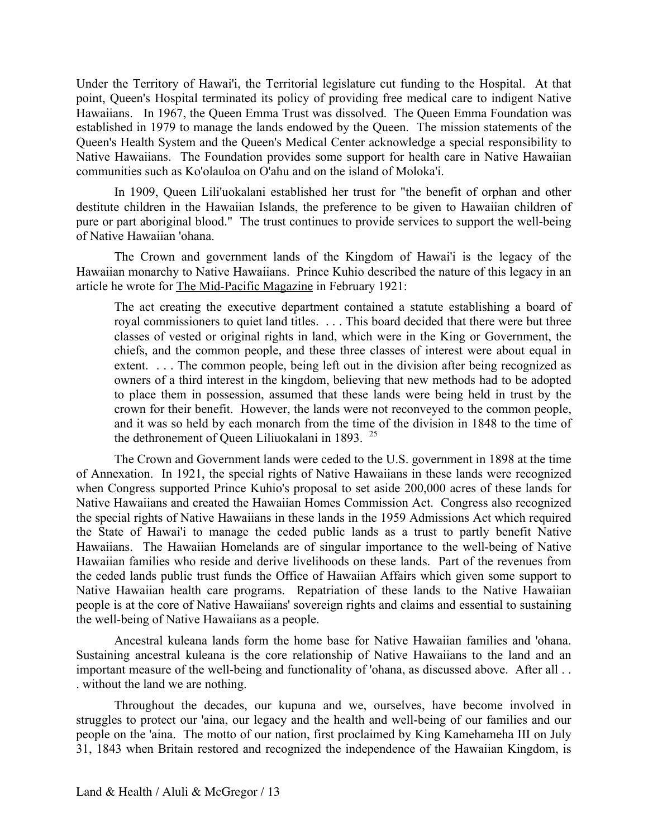Hawaiians. In 1967, the Queen Emma Trust was dissolved. The Queen Emma Foundation was Under the Territory of Hawai'i, the Territorial legislature cut funding to the Hospital. At that point, Queen's Hospital terminated its policy of providing free medical care to indigent Native established in 1979 to manage the lands endowed by the Queen. The mission statements of the Queen's Health System and the Queen's Medical Center acknowledge a special responsibility to Native Hawaiians. The Foundation provides some support for health care in Native Hawaiian communities such as Ko'olauloa on O'ahu and on the island of Moloka'i.

In 1909, Queen Lili'uokalani established her trust for "the benefit of orphan and other destitute children in the Hawaiian Islands, the preference to be given to Hawaiian children of pure or part aboriginal blood." The trust continues to provide services to support the well-being of Native Hawaiian 'ohana.

The Crown and government lands of the Kingdom of Hawai'i is the legacy of the Hawaiian monarchy to Native Hawaiians. Prince Kuhio described the nature of this legacy in an article he wrote for The Mid-Pacific Magazine in February 1921:

The act creating the executive department contained a statute establishing a board of royal commissioners to quiet land titles. . . . This board decided that there were but three classes of vested or original rights in land, which were in the King or Government, the chiefs, and the common people, and these three classes of interest were about equal in extent. . . . The common people, being left out in the division after being recognized as owners of a third interest in the kingdom, believing that new methods had to be adopted to place them in possession, assumed that these lands were being held in trust by the crown for their benefit. However, the lands were not reconveyed to the common people, and it was so held by each monarch from the time of the division in 1848 to the time of the dethronement of Queen Liliuokalani in 1893.  $25$ 

The Crown and Government lands were ceded to the U.S. government in 1898 at the time of Annexation. In 1921, the special rights of Native Hawaiians in these lands were recognized when Congress supported Prince Kuhio's proposal to set aside 200,000 acres of these lands for Native Hawaiians and created the Hawaiian Homes Commission Act. Congress also recognized the special rights of Native Hawaiians in these lands in the 1959 Admissions Act which required the State of Hawai'i to manage the ceded public lands as a trust to partly benefit Native Hawaiians. The Hawaiian Homelands are of singular importance to the well-being of Native Hawaiian families who reside and derive livelihoods on these lands. Part of the revenues from the ceded lands public trust funds the Office of Hawaiian Affairs which given some support to Native Hawaiian health care programs. Repatriation of these lands to the Native Hawaiian people is at the core of Native Hawaiians' sovereign rights and claims and essential to sustaining the well-being of Native Hawaiians as a people.

Ancestral kuleana lands form the home base for Native Hawaiian families and 'ohana. Sustaining ancestral kuleana is the core relationship of Native Hawaiians to the land and an important measure of the well-being and functionality of 'ohana, as discussed above. After all . . . without the land we are nothing.

Throughout the decades, our kupuna and we, ourselves, have become involved in struggles to protect our 'aina, our legacy and the health and well-being of our families and our people on the 'aina. The motto of our nation, first proclaimed by King Kamehameha III on July 31, 1843 when Britain restored and recognized the independence of the Hawaiian Kingdom, is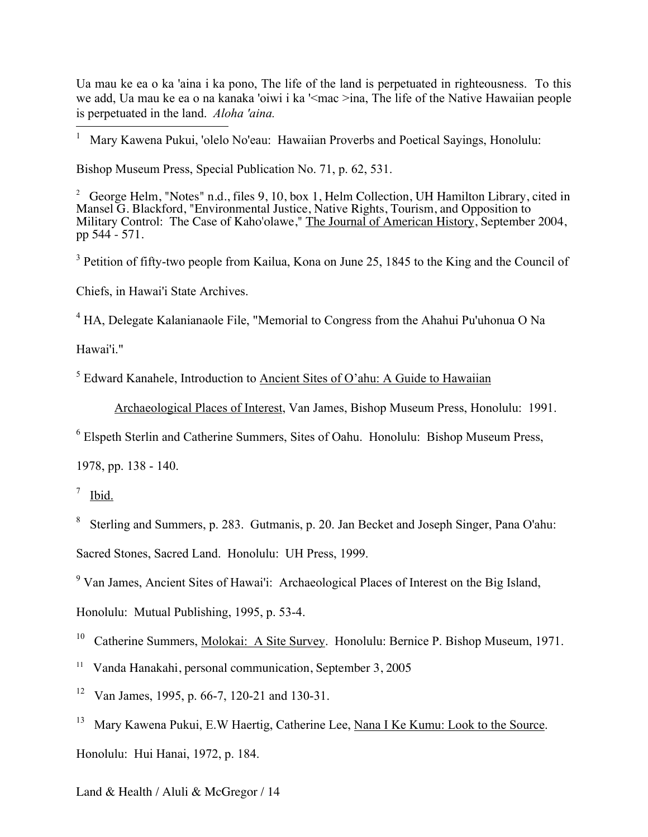-Ua mau ke ea o ka 'aina i ka pono, The life of the land is perpetuated in righteousness. To this we add, Ua mau ke ea o na kanaka 'oiwi i ka '<mac >ina, The life of the Native Hawaiian people is perpetuated in the land. *Aloha 'aina.* 

1 Mary Kawena Pukui, 'olelo No'eau: Hawaiian Proverbs and Poetical Sayings, Honolulu:

Bishop Museum Press, Special Publication No. 71, p. 62, 531.

<sup>2</sup> George Helm, "Notes" n.d., files 9, 10, box 1, Helm Collection, UH Hamilton Library, cited in Mansel G. Blackford, "Environmental Justice, Native Rights, Tourism, and Opposition to Military Control: The Case of Kaho'olawe," The Journal of American History, September 2004, pp 544 - 571.

<sup>3</sup> Petition of fifty-two people from Kailua, Kona on June 25, 1845 to the King and the Council of

Chiefs, in Hawai'i State Archives.

 $4$  HA, Delegate Kalanianaole File, "Memorial to Congress from the Ahahui Pu'uhonua O Na

Hawai'i."

 $<sup>5</sup>$  Edward Kanahele, Introduction to Ancient Sites of O'ahu: A Guide to Hawaiian</sup>

Archaeological Places of Interest, Van James, Bishop Museum Press, Honolulu: 1991.

<sup>6</sup> Elspeth Sterlin and Catherine Summers, Sites of Oahu. Honolulu: Bishop Museum Press,

1978, pp. 138 - 140.

 $\frac{7}{1}$  Ibid.

<sup>8</sup> Sterling and Summers, p. 283. Gutmanis, p. 20. Jan Becket and Joseph Singer, Pana O'ahu:

Sacred Stones, Sacred Land. Honolulu: UH Press, 1999.

<sup>9</sup> Van James, Ancient Sites of Hawai'i: Archaeological Places of Interest on the Big Island,

Honolulu: Mutual Publishing, 1995, p. 53-4.

<sup>10</sup> Catherine Summers, Molokai: A Site Survey. Honolulu: Bernice P. Bishop Museum, 1971.

<sup>11</sup> Vanda Hanakahi, personal communication, September 3, 2005

<sup>12</sup> Van James, 1995, p. 66-7, 120-21 and 130-31.

<sup>13</sup> Mary Kawena Pukui, E.W Haertig, Catherine Lee, Nana I Ke Kumu: Look to the Source. Honolulu: Hui Hanai, 1972, p. 184.